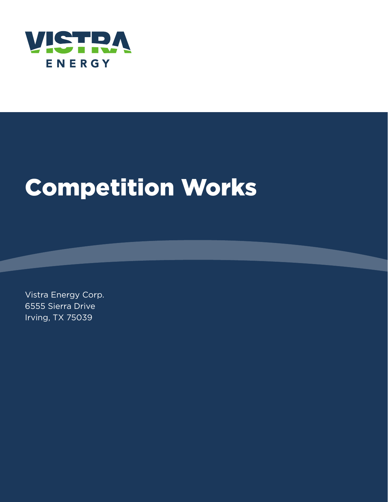

# Competition Works

Vistra Energy Corp. 6555 Sierra Drive Irving, TX 75039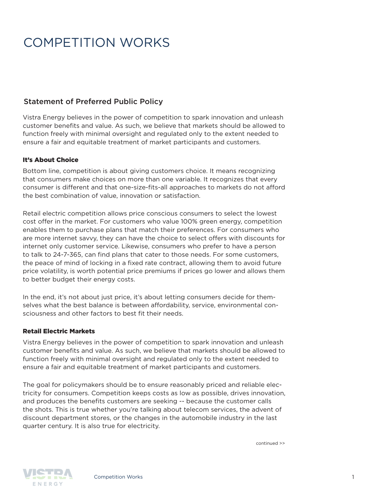## COMPETITION WORKS

### Statement of Preferred Public Policy

Vistra Energy believes in the power of competition to spark innovation and unleash customer benefits and value. As such, we believe that markets should be allowed to function freely with minimal oversight and regulated only to the extent needed to ensure a fair and equitable treatment of market participants and customers.

#### It's About Choice

Bottom line, competition is about giving customers choice. It means recognizing that consumers make choices on more than one variable. It recognizes that every consumer is different and that one-size-fits-all approaches to markets do not afford the best combination of value, innovation or satisfaction.

Retail electric competition allows price conscious consumers to select the lowest cost offer in the market. For customers who value 100% green energy, competition enables them to purchase plans that match their preferences. For consumers who are more internet savvy, they can have the choice to select offers with discounts for internet only customer service. Likewise, consumers who prefer to have a person to talk to 24-7-365, can find plans that cater to those needs. For some customers, the peace of mind of locking in a fixed rate contract, allowing them to avoid future price volatility, is worth potential price premiums if prices go lower and allows them to better budget their energy costs.

In the end, it's not about just price, it's about letting consumers decide for themselves what the best balance is between affordability, service, environmental consciousness and other factors to best fit their needs.

#### Retail Electric Markets

Vistra Energy believes in the power of competition to spark innovation and unleash customer benefits and value. As such, we believe that markets should be allowed to function freely with minimal oversight and regulated only to the extent needed to ensure a fair and equitable treatment of market participants and customers.

The goal for policymakers should be to ensure reasonably priced and reliable electricity for consumers. Competition keeps costs as low as possible, drives innovation, and produces the benefits customers are seeking -- because the customer calls the shots. This is true whether you're talking about telecom services, the advent of discount department stores, or the changes in the automobile industry in the last quarter century. It is also true for electricity.

continued >>

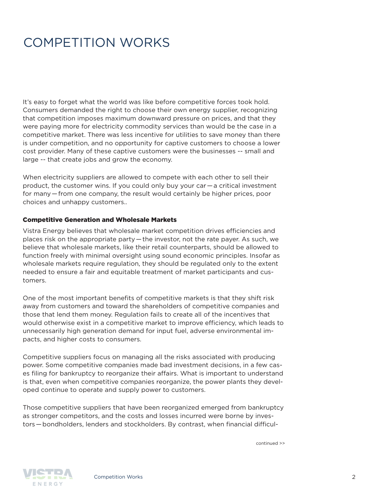### COMPETITION WORKS

It's easy to forget what the world was like before competitive forces took hold. Consumers demanded the right to choose their own energy supplier, recognizing that competition imposes maximum downward pressure on prices, and that they were paying more for electricity commodity services than would be the case in a competitive market. There was less incentive for utilities to save money than there is under competition, and no opportunity for captive customers to choose a lower cost provider. Many of these captive customers were the businesses -- small and large -- that create jobs and grow the economy.

When electricity suppliers are allowed to compete with each other to sell their product, the customer wins. If you could only buy your car — a critical investment for many — from one company, the result would certainly be higher prices, poor choices and unhappy customers..

#### Competitive Generation and Wholesale Markets

Vistra Energy believes that wholesale market competition drives efficiencies and places risk on the appropriate party — the investor, not the rate payer. As such, we believe that wholesale markets, like their retail counterparts, should be allowed to function freely with minimal oversight using sound economic principles. Insofar as wholesale markets require regulation, they should be regulated only to the extent needed to ensure a fair and equitable treatment of market participants and customers.

One of the most important benefits of competitive markets is that they shift risk away from customers and toward the shareholders of competitive companies and those that lend them money. Regulation fails to create all of the incentives that would otherwise exist in a competitive market to improve efficiency, which leads to unnecessarily high generation demand for input fuel, adverse environmental impacts, and higher costs to consumers.

Competitive suppliers focus on managing all the risks associated with producing power. Some competitive companies made bad investment decisions, in a few cases filing for bankruptcy to reorganize their affairs. What is important to understand is that, even when competitive companies reorganize, the power plants they developed continue to operate and supply power to customers.

Those competitive suppliers that have been reorganized emerged from bankruptcy as stronger competitors, and the costs and losses incurred were borne by investors — bondholders, lenders and stockholders. By contrast, when financial difficul-

continued >>